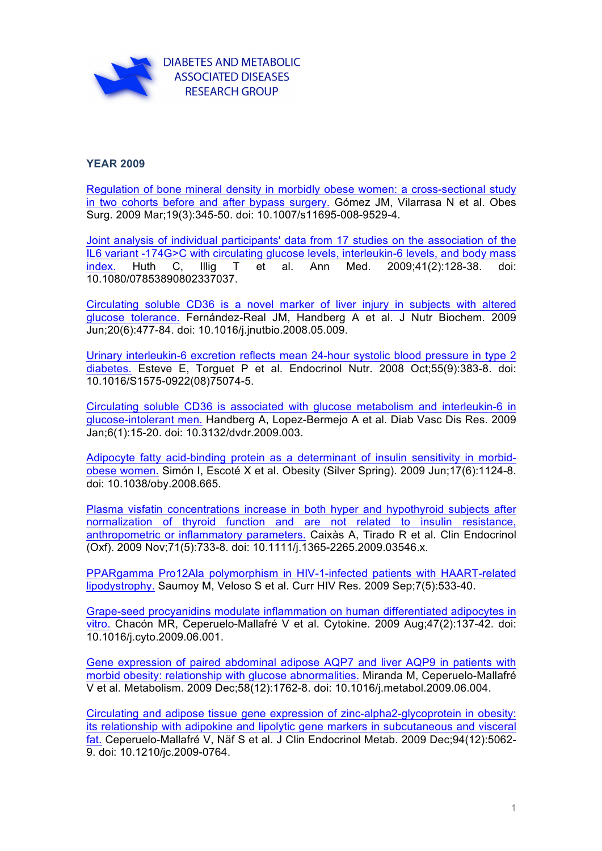

## **YEAR 2009**

[Regulation of bone mineral density in morbidly obese women: a cross-sectional study](http://www.ncbi.nlm.nih.gov/pubmed/18443887)  in two cohorts before and after bypass surgery. Gómez JM, Vilarrasa N et al. Obes Surg. 2009 Mar;19(3):345-50. doi: 10.1007/s11695-008-9529-4.

[Joint analysis of individual participants' data from 17 studies on the association of the](http://www.ncbi.nlm.nih.gov/pubmed/18752089)  IL6 variant -174G>C with circulating glucose levels, interleukin-6 levels, and body mass index. Huth C, Illig T et al. Ann Med. 2009;41(2):128-38. doi: 10.1080/07853890802337037.

[Circulating soluble CD36 is a novel marker of liver injury in subjects with altered](http://www.ncbi.nlm.nih.gov/pubmed/18789673)  glucose tolerance. Fernández-Real JM, Handberg A et al. J Nutr Biochem. 2009 Jun;20(6):477-84. doi: 10.1016/j.jnutbio.2008.05.009.

[Urinary interleukin-6 excretion reflects mean 24-hour systolic blood pressure in type 2](http://www.ncbi.nlm.nih.gov/pubmed/22974450)  diabetes. Esteve E, Torguet P et al. Endocrinol Nutr. 2008 Oct;55(9):383-8. doi: 10.1016/S1575-0922(08)75074-5.

[Circulating soluble CD36 is associated with glucose metabolism and interleukin-6 in](http://www.ncbi.nlm.nih.gov/pubmed/19156623)  glucose-intolerant men. Handberg A, Lopez-Bermejo A et al. Diab Vasc Dis Res. 2009 Jan;6(1):15-20. doi: 10.3132/dvdr.2009.003.

[Adipocyte fatty acid-binding protein as a determinant of insulin sensitivity in morbid](http://www.ncbi.nlm.nih.gov/pubmed/19197257)obese women. Simón I, Escoté X et al. Obesity (Silver Spring). 2009 Jun;17(6):1124-8. doi: 10.1038/oby.2008.665.

[Plasma visfatin concentrations increase in both hyper and hypothyroid subjects after](http://www.ncbi.nlm.nih.gov/pubmed/19222486)  normalization of thyroid function and are not related to insulin resistance, anthropometric or inflammatory parameters. Caixàs A, Tirado R et al. Clin Endocrinol (Oxf). 2009 Nov;71(5):733-8. doi: 10.1111/j.1365-2265.2009.03546.x.

[PPARgamma Pro12Ala polymorphism in HIV-1-infected patients with HAART-related](http://www.ncbi.nlm.nih.gov/pubmed/19534662)  lipodystrophy. Saumoy M, Veloso S et al. Curr HIV Res. 2009 Sep;7(5):533-40.

[Grape-seed procyanidins modulate inflammation on human differentiated adipocytes in](http://www.ncbi.nlm.nih.gov/pubmed/19560935)  vitro. Chacón MR, Ceperuelo-Mallafré V et al. Cytokine. 2009 Aug;47(2):137-42. doi: 10.1016/j.cyto.2009.06.001.

[Gene expression of paired abdominal adipose AQP7 and liver AQP9 in patients with](http://www.ncbi.nlm.nih.gov/pubmed/19615702) morbid obesity: relationship with glucose abnormalities. Miranda M, Ceperuelo-Mallafré V et al. Metabolism. 2009 Dec;58(12):1762-8. doi: 10.1016/j.metabol.2009.06.004.

[Circulating and adipose tissue gene expression of zinc-alpha2-glycoprotein in obesity:](http://www.ncbi.nlm.nih.gov/pubmed/19846741)  its relationship with adipokine and lipolytic gene markers in subcutaneous and visceral fat. Ceperuelo-Mallafré V, Näf S et al. J Clin Endocrinol Metab. 2009 Dec;94(12):5062- 9. doi: 10.1210/jc.2009-0764.